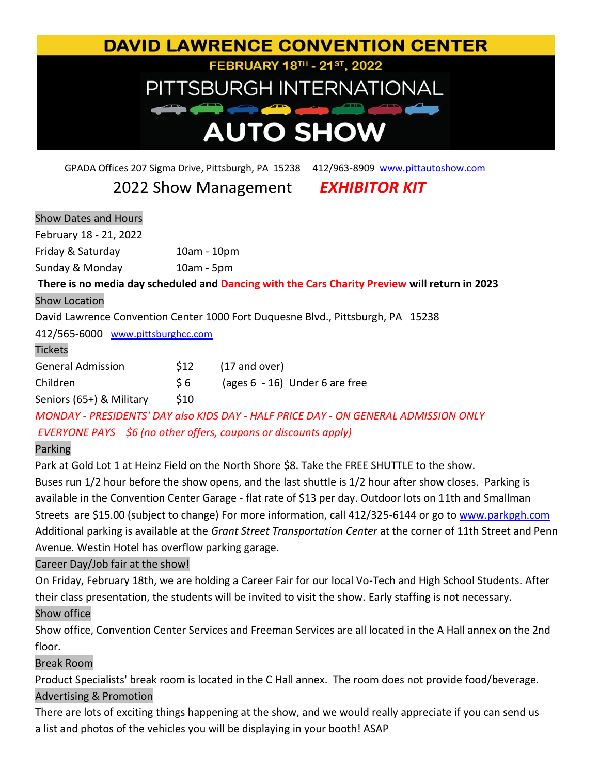# **DAVID LAWRENCE CONVENTION CENTER** FEBRUARY 18TH - 21ST, 2022 PITTSBURGH INTERNATIONAL **AUTO SHOW**

GPADA Offices 207 Sigma Drive, Pittsburgh, PA 15238 412/963-8909 <www.pittautoshow.com>

## 2022 Show Management *EXHIBITOR KIT*

| <b>Show Dates and Hours</b>       |               |                                                                                               |
|-----------------------------------|---------------|-----------------------------------------------------------------------------------------------|
| February 18 - 21, 2022            |               |                                                                                               |
| Friday & Saturday                 | $10am - 10pm$ |                                                                                               |
| Sunday & Monday                   | $10am - 5pm$  |                                                                                               |
|                                   |               | There is no media day scheduled and Dancing with the Cars Charity Preview will return in 2023 |
| <b>Show Location</b>              |               |                                                                                               |
|                                   |               | David Lawrence Convention Center 1000 Fort Duquesne Blvd., Pittsburgh, PA 15238               |
| 412/565-6000 www.pittsburghcc.com |               |                                                                                               |
| <b>Tickets</b>                    |               |                                                                                               |
| <b>General Admission</b>          | \$12          | $(17$ and over)                                                                               |
| Children                          | \$6           | (ages $6 - 16$ ) Under $6$ are free                                                           |
| Seniors (65+) & Military          | \$10          |                                                                                               |
|                                   |               |                                                                                               |

*MONDAY - PRESIDENTS' DAY also KIDS DAY - HALF PRICE DAY - ON GENERAL ADMISSION ONLY*

## *EVERYONE PAYS \$6 (no other offers, coupons or discounts apply)*

## Parking

Park at Gold Lot 1 at Heinz Field on the North Shore \$8. Take the FREE SHUTTLE to the show. Buses run 1/2 hour before the show opens, and the last shuttle is 1/2 hour after show closes. Parking is available in the Convention Center Garage - flat rate of \$13 per day. Outdoor lots on 11th and Smallman Streets are \$15.00 (subject to change) For more information, call 412/325-6144 or go to<www.parkpgh.com> Additional parking is available at the *Grant Street Transportation Center* at the corner of 11th Street and Penn Avenue. Westin Hotel has overflow parking garage.

## Career Day/Job fair at the show!

On Friday, February 18th, we are holding a Career Fair for our local Vo-Tech and High School Students. After their class presentation, the students will be invited to visit the show. Early staffing is not necessary. Show office

Show office, Convention Center Services and Freeman Services are all located in the A Hall annex on the 2nd floor.

## Break Room

Product Specialists' break room is located in the C Hall annex. The room does not provide food/beverage.

## Advertising & Promotion

There are lots of exciting things happening at the show, and we would really appreciate if you can send us a list and photos of the vehicles you will be displaying in your booth! ASAP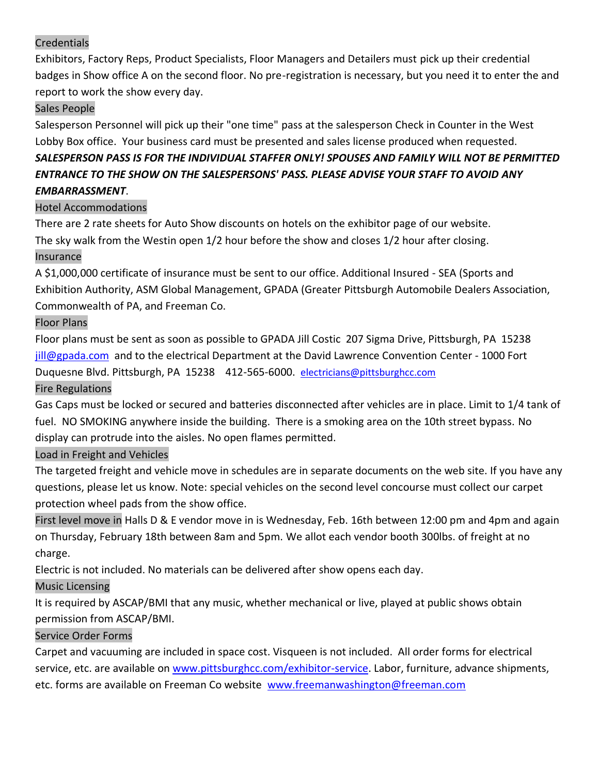## Credentials

Exhibitors, Factory Reps, Product Specialists, Floor Managers and Detailers must pick up their credential badges in Show office A on the second floor. No pre-registration is necessary, but you need it to enter the and report to work the show every day.

## Sales People

Salesperson Personnel will pick up their "one time" pass at the salesperson Check in Counter in the West Lobby Box office. Your business card must be presented and sales license produced when requested.

## *SALESPERSON PASS IS FOR THE INDIVIDUAL STAFFER ONLY! SPOUSES AND FAMILY WILL NOT BE PERMITTED ENTRANCE TO THE SHOW ON THE SALESPERSONS' PASS. PLEASE ADVISE YOUR STAFF TO AVOID ANY EMBARRASSMENT*.

### Hotel Accommodations

There are 2 rate sheets for Auto Show discounts on hotels on the exhibitor page of our website. The sky walk from the Westin open 1/2 hour before the show and closes 1/2 hour after closing. Insurance

A \$1,000,000 certificate of insurance must be sent to our office. Additional Insured - SEA (Sports and Exhibition Authority, ASM Global Management, GPADA (Greater Pittsburgh Automobile Dealers Association, Commonwealth of PA, and Freeman Co.

#### Floor Plans

Floor plans must be sent as soon as possible to GPADA Jill Costic 207 Sigma Drive, Pittsburgh, PA 15238 <jill@gpada.com>and to the electrical Department at the David Lawrence Convention Center - 1000 Fort Duquesne Blvd. Pittsburgh, PA 15238 412-565-6000. [electricians@pittsburghcc.com](mailto:electricians@pittsburghcc.com)

#### Fire Regulations

Gas Caps must be locked or secured and batteries disconnected after vehicles are in place. Limit to 1/4 tank of fuel. NO SMOKING anywhere inside the building. There is a smoking area on the 10th street bypass. No display can protrude into the aisles. No open flames permitted.

## Load in Freight and Vehicles

The targeted freight and vehicle move in schedules are in separate documents on the web site. If you have any questions, please let us know. Note: special vehicles on the second level concourse must collect our carpet protection wheel pads from the show office.

First level move in Halls D & E vendor move in is Wednesday, Feb. 16th between 12:00 pm and 4pm and again on Thursday, February 18th between 8am and 5pm. We allot each vendor booth 300lbs. of freight at no charge.

Electric is not included. No materials can be delivered after show opens each day.

## Music Licensing

It is required by ASCAP/BMI that any music, whether mechanical or live, played at public shows obtain permission from ASCAP/BMI.

#### Service Order Forms

Carpet and vacuuming are included in space cost. Visqueen is not included. All order forms for electrical service, etc. are available on [www.pittsburghcc.com/exhibitor-service.](www.pittsburghcc.com/exhibitor-service) Labor, furniture, advance shipments, etc. forms are available on Freeman Co website <www.freemanwashington@freeman.com>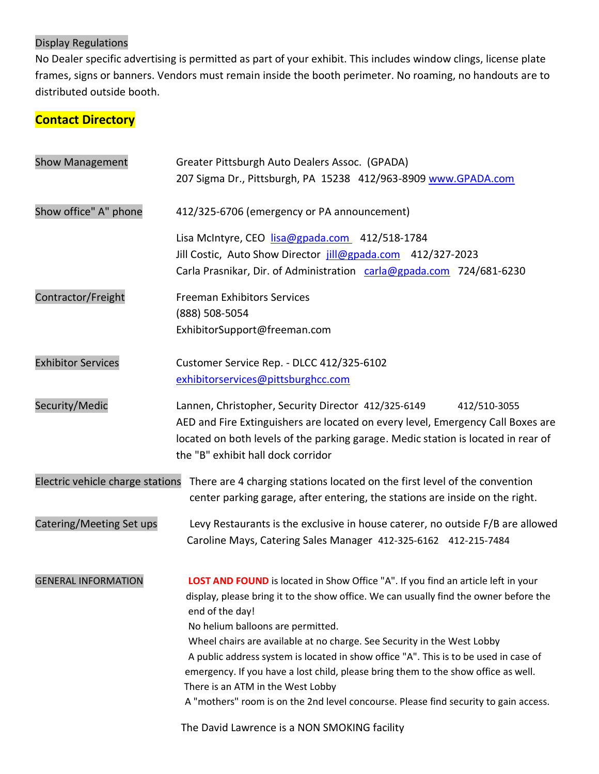## Display Regulations

No Dealer specific advertising is permitted as part of your exhibit. This includes window clings, license plate frames, signs or banners. Vendors must remain inside the booth perimeter. No roaming, no handouts are to distributed outside booth.

## **Contact Directory**

| <b>Show Management</b>           | Greater Pittsburgh Auto Dealers Assoc. (GPADA)<br>207 Sigma Dr., Pittsburgh, PA 15238 412/963-8909 www.GPADA.com                                                                                                                                                                           |  |  |
|----------------------------------|--------------------------------------------------------------------------------------------------------------------------------------------------------------------------------------------------------------------------------------------------------------------------------------------|--|--|
| Show office" A" phone            | 412/325-6706 (emergency or PA announcement)                                                                                                                                                                                                                                                |  |  |
|                                  | Lisa McIntyre, CEO lisa@gpada.com 412/518-1784<br>Jill Costic, Auto Show Director jill@gpada.com 412/327-2023<br>Carla Prasnikar, Dir. of Administration carla@gpada.com 724/681-6230                                                                                                      |  |  |
| Contractor/Freight               | <b>Freeman Exhibitors Services</b><br>(888) 508-5054<br>ExhibitorSupport@freeman.com                                                                                                                                                                                                       |  |  |
| <b>Exhibitor Services</b>        | Customer Service Rep. - DLCC 412/325-6102<br>exhibitorservices@pittsburghcc.com                                                                                                                                                                                                            |  |  |
| Security/Medic                   | Lannen, Christopher, Security Director 412/325-6149<br>412/510-3055<br>AED and Fire Extinguishers are located on every level, Emergency Call Boxes are<br>located on both levels of the parking garage. Medic station is located in rear of<br>the "B" exhibit hall dock corridor          |  |  |
| Electric vehicle charge stations | There are 4 charging stations located on the first level of the convention<br>center parking garage, after entering, the stations are inside on the right.                                                                                                                                 |  |  |
| Catering/Meeting Set ups         | Levy Restaurants is the exclusive in house caterer, no outside F/B are allowed<br>Caroline Mays, Catering Sales Manager 412-325-6162 412-215-7484                                                                                                                                          |  |  |
| <b>GENERAL INFORMATION</b>       | LOST AND FOUND is located in Show Office "A". If you find an article left in your<br>display, please bring it to the show office. We can usually find the owner before the<br>end of the day!<br>No helium balloons are permitted.                                                         |  |  |
|                                  | Wheel chairs are available at no charge. See Security in the West Lobby<br>A public address system is located in show office "A". This is to be used in case of<br>emergency. If you have a lost child, please bring them to the show office as well.<br>There is an ATM in the West Lobby |  |  |
|                                  | A "mothers" room is on the 2nd level concourse. Please find security to gain access.<br>The David Lawrence is a NON SMOKING facility                                                                                                                                                       |  |  |